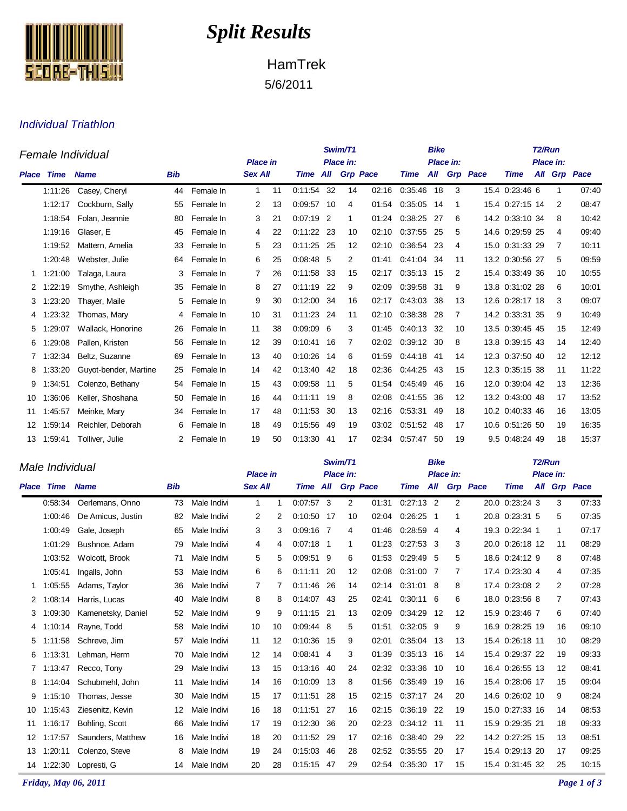

## *Split Results*

HamTrek 5/6/2011

## Individual Triathlon

| Female Individual |         |                       |            |           |                 |    |              |      | Swim/T1           |                 |             | <b>Bike</b> |                |                 | T <sub>2</sub> /Run |  |    |              |  |
|-------------------|---------|-----------------------|------------|-----------|-----------------|----|--------------|------|-------------------|-----------------|-------------|-------------|----------------|-----------------|---------------------|--|----|--------------|--|
|                   |         |                       |            |           | <b>Place in</b> |    | Place in:    |      |                   |                 |             | Place in:   |                |                 | Place in:           |  |    |              |  |
| <b>Place</b>      | Time    | <b>Name</b>           | <b>Bib</b> |           | <b>Sex All</b>  |    | Time All     |      |                   | <b>Grp Pace</b> | <b>Time</b> | All         |                | <b>Grp</b> Pace | <b>Time</b>         |  |    | All Grp Pace |  |
|                   | 1:11:26 | Casey, Cheryl         | 44         | Female In | $\mathbf{1}$    | 11 | 0:11:54 32   |      | 14                | 02:16           | 0:35:46     | 18          | 3              |                 | 15.4 0:23:46 6      |  | 1  | 07:40        |  |
|                   | 1:12:17 | Cockburn, Sally       | 55         | Female In | 2               | 13 | 0:09:57 10   |      | 4                 | 01:54           | 0:35:05     | 14          | 1              |                 | 15.4 0:27:15 14     |  | 2  | 08:47        |  |
|                   | 1:18:54 | Folan, Jeannie        | 80         | Female In | 3               | 21 | $0:07:19$ 2  |      | 1                 | 01:24           | 0:38:25     | 27          | 6              |                 | 14.2 0:33:10 34     |  | 8  | 10:42        |  |
|                   | 1:19:16 | Glaser, E             | 45         | Female In | 4               | 22 | $0:11:22$ 23 |      | 10                | 02:10           | 0:37:55     | 25          | 5              |                 | 14.6 0:29:59 25     |  | 4  | 09:40        |  |
|                   | 1:19:52 | Mattern, Amelia       | 33         | Female In | 5               | 23 | 0:11:25      | -25  | $12 \overline{ }$ | 02:10           | 0:36:54     | 23          | 4              |                 | 15.0 0:31:33 29     |  | 7  | 10:11        |  |
|                   | 1:20:48 | Webster, Julie        | 64         | Female In | 6               | 25 | $0.08:48$ 5  |      | 2                 | 01:41           | 0:41:04 34  |             | 11             |                 | 13.2 0:30:56 27     |  | 5  | 09:59        |  |
|                   | 1:21:00 | Talaga, Laura         | 3          | Female In | 7               | 26 | 0:11:58      | -33  | 15                | 02:17           | 0:35:13     | 15          | 2              |                 | 15.4 0:33:49 36     |  | 10 | 10:55        |  |
| 2                 | 1:22:19 | Smythe, Ashleigh      | 35         | Female In | 8               | 27 | 0:11:19      | 22   | 9                 | 02:09           | 0:39:58     | -31         | 9              |                 | 13.8 0:31:02 28     |  | 6  | 10:01        |  |
| 3                 | 1:23:20 | Thayer, Maile         | 5          | Female In | 9               | 30 | 0:12:00      | -34  | 16                | 02:17           | 0:43:03     | -38         | 13             |                 | 12.6 0:28:17 18     |  | 3  | 09:07        |  |
| 4                 | :23:32  | Thomas, Mary          | 4          | Female In | 10              | 31 | 0:11:23      | 24   | 11                | 02:10           | 0.38.38     | 28          | $\overline{7}$ |                 | 14.2 0:33:31 35     |  | 9  | 10:49        |  |
| 5                 | 1:29:07 | Wallack, Honorine     | 26         | Female In | 11              | 38 | 0:09:09      | -6   | 3                 | 01:45           | 0:40:13     | 32          | 10             |                 | 13.5 0:39:45 45     |  | 15 | 12:49        |  |
| 6                 | 1:29:08 | Pallen, Kristen       | 56         | Female In | 12              | 39 | 0:10:41      | 16   | 7                 | 02:02           | 0:39:12     | 30          | 8              |                 | 13.8 0:39:15 43     |  | 14 | 12:40        |  |
|                   | 1:32:34 | Beltz, Suzanne        | 69         | Female In | 13              | 40 | 0:10:26      | -14  | 6                 | 01:59           | 0:44:18     | -41         | 14             |                 | 12.3 0:37:50 40     |  | 12 | 12:12        |  |
| 8                 | 1:33:20 | Guyot-bender, Martine | 25         | Female In | 14              | 42 | 0:13:40      | -42  | 18                | 02:36           | 0:44:25     | -43         | 15             |                 | 12.3 0:35:15 38     |  | 11 | 11:22        |  |
| 9                 | 1:34:51 | Colenzo, Bethany      | 54         | Female In | 15              | 43 | 0:09:58      | - 11 | 5                 | 01:54           | 0:45:49     | 46          | 16             |                 | 12.0 0:39:04 42     |  | 13 | 12:36        |  |
| 10                | 1:36:06 | Keller, Shoshana      | 50         | Female In | 16              | 44 | 0:11:11      | -19  | 8                 | 02:08           | 0:41:55     | -36         | 12             |                 | 13.2 0:43:00 48     |  | 17 | 13:52        |  |
| 11                | 1:45:57 | Meinke, Mary          | 34         | Female In | 17              | 48 | 0:11:53      | -30  | 13                | 02:16           | 0:53:31     | 49          | 18             |                 | 10.2 0:40:33 46     |  | 16 | 13:05        |  |
| 12                | 1:59:14 | Reichler, Deborah     | 6          | Female In | 18              | 49 | 0.15:56      | -49  | 19                | 03:02           | 0:51:52     | -48         | 17             |                 | 10.6 0:51:26 50     |  | 19 | 16:35        |  |
| 13                | 1:59:41 | Tolliver, Julie       | 2          | Female In | 19              | 50 | 0:13:30      | -41  | 17                | 02:34           | 0:57:47     | 50          | 19             |                 | 9.5 0:48:24 49      |  | 18 | 15:37        |  |

|       | Male Individual |                    | <b>Place in</b> |             |                |    | Swim/T1<br>Place in: |     |                 | <b>Bike</b> | Place in:  |                | T <sub>2</sub> /Run<br>Place in: |                 |                 |  |    |              |
|-------|-----------------|--------------------|-----------------|-------------|----------------|----|----------------------|-----|-----------------|-------------|------------|----------------|----------------------------------|-----------------|-----------------|--|----|--------------|
| Place | Time            | <b>Name</b>        | <b>Bib</b>      |             | <b>Sex All</b> |    | Time All             |     | <b>Grp Pace</b> |             | Time       | All            |                                  | <b>Grp Pace</b> | Time            |  |    | All Grp Pace |
|       | 0.58.34         | Oerlemans, Onno    | 73              | Male Indivi | $\mathbf{1}$   | -1 | $0:07:57$ 3          |     | 2               | 01:31       | 0:27:13    | $\overline{2}$ | 2                                |                 | 20.0 0:23:24 3  |  | 3  | 07:33        |
|       | 1:00:46         | De Amicus, Justin  | 82              | Male Indivi | $\overline{2}$ | 2  | 0:10:50              | -17 | 10              | 02:04       | 0:26:25    | $\overline{1}$ | 1                                |                 | 20.8 0:23:31 5  |  | 5  | 07:35        |
|       | 1:00:49         | Gale, Joseph       | 65              | Male Indivi | 3              | 3  | $0:09:16$ 7          |     | 4               | 01:46       | 0:28:59    | 4              | 4                                |                 | 19.3 0:22:34 1  |  | 1  | 07:17        |
|       | 1:01:29         | Bushnoe, Adam      | 79              | Male Indivi | 4              | 4  | $0:07:18$ 1          |     | 1               | 01:23       | 0:27:53    | -3             | 3                                |                 | 20.0 0:26:18 12 |  | 11 | 08:29        |
|       | 1:03:52         | Wolcott, Brook     | 71              | Male Indivi | 5              | 5  | 0:09:51 9            |     | 6               | 01:53       | 0:29:49    | -5             | 5                                |                 | 18.6 0:24:12 9  |  | 8  | 07:48        |
|       | 1:05:41         | Ingalls, John      | 53              | Male Indivi | 6              | 6  | 0:11:11              | 20  | 12              | 02:08       | 0:31:00    | 7              | 7                                |                 | 17.4 0:23:30 4  |  | 4  | 07:35        |
| 1     | 1:05:55         | Adams, Taylor      | 36              | Male Indivi | 7              | 7  | 0:11:46              | 26  | 14              | 02:14       | 0:31:01    | -8             | 8                                |                 | 17.4 0:23:08 2  |  | 2  | 07:28        |
| 2     | 1:08:14         | Harris, Lucas      | 40              | Male Indivi | 8              | 8  | 0:14:07 43           |     | 25              | 02:41       | 0:30:11    | 6              | 6                                |                 | 18.0 0:23:56 8  |  | 7  | 07:43        |
| 3     | 1:09:30         | Kamenetsky, Daniel | 52              | Male Indivi | 9              | 9  | $0:11:15$ 21         |     | 13              | 02:09       | 0:34:29    | 12             | 12                               |                 | 15.9 0:23:46 7  |  | 6  | 07:40        |
| 4     | 1:10:14         | Rayne, Todd        | 58              | Male Indivi | 10             | 10 | $0:09:44$ 8          |     | 5               | 01:51       | 0:32:05    | -9             | 9                                |                 | 16.9 0:28:25 19 |  | 16 | 09:10        |
| 5     | 1:11:58         | Schreve, Jim       | 57              | Male Indivi | 11             | 12 | 0:10:36              | 15  | 9               | 02:01       | 0:35:04    | -13            | 13                               |                 | 15.4 0:26:18 11 |  | 10 | 08:29        |
| 6     | 1:13:31         | Lehman, Herm       | 70              | Male Indivi | 12             | 14 | 0:08:41              | 4   | 3               | 01:39       | 0:35:13    | -16            | 14                               |                 | 15.4 0:29:37 22 |  | 19 | 09:33        |
|       | 1:13:47         | Recco, Tony        | 29              | Male Indivi | 13             | 15 | 0:13:16              | -40 | 24              | 02:32       | 0:33:36    | -10            | 10                               |                 | 16.4 0:26:55 13 |  | 12 | 08:41        |
| 8     | 1:14:04         | Schubmehl, John    | 11              | Male Indivi | 14             | 16 | 0:10:09              | 13  | 8               | 01:56       | 0.35.49    | 19             | 16                               |                 | 15.4 0:28:06 17 |  | 15 | 09:04        |
| 9     | 1:15:10         | Thomas, Jesse      | 30              | Male Indivi | 15             | 17 | 0:11:51              | 28  | 15              | 02:15       | 0:37:17 24 |                | 20                               |                 | 14.6 0:26:02 10 |  | 9  | 08:24        |
| 10    | 1:15:43         | Ziesenitz, Kevin   | 12              | Male Indivi | 16             | 18 | 0:11:51              | 27  | 16              | 02:15       | 0:36:19    | 22             | 19                               |                 | 15.0 0:27:33 16 |  | 14 | 08:53        |
| 11    | 1:16:17         | Bohling, Scott     | 66              | Male Indivi | 17             | 19 | 0:12:30              | 36  | 20              | 02.23       | 0:34:12 11 |                | 11                               |                 | 15.9 0:29:35 21 |  | 18 | 09:33        |
| 12    | 1:17:57         | Saunders, Matthew  | 16              | Male Indivi | 18             | 20 | 0:11:52              | -29 | 17              | 02:16       | 0:38:40    | 29             | 22                               |                 | 14.2 0:27:25 15 |  | 13 | 08:51        |
| 13    | 1:20:11         | Colenzo, Steve     | 8               | Male Indivi | 19             | 24 | 0:15:03              | -46 | 28              | 02:52       | 0.35.55    | 20             | 17                               |                 | 15.4 0:29:13 20 |  | 17 | 09:25        |
| 14    | 1:22:30         | Lopresti, G        | 14              | Male Indivi | 20             | 28 | 0:15:15              | -47 | 29              | 02:54       | 0:35:30    | -17            | 15                               |                 | 15.4 0:31:45 32 |  | 25 | 10:15        |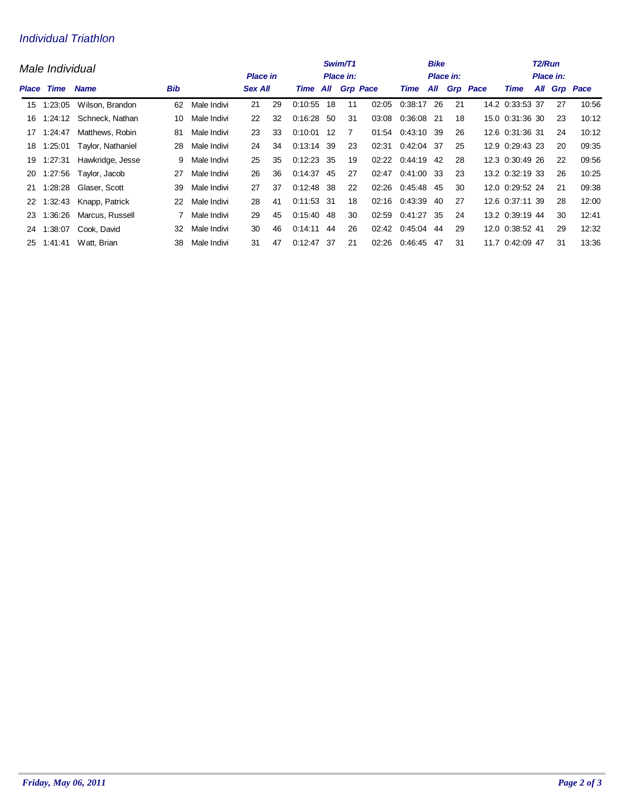## Individual Triathlon

|       | Male Individual |                   | Swim/T1<br>Place in:<br><b>Place in</b> |             |    |                |              |          | <b>Bike</b><br><b>Place in:</b> |       | T2/Run<br>Place in: |     |    |                 |                 |  |    |              |
|-------|-----------------|-------------------|-----------------------------------------|-------------|----|----------------|--------------|----------|---------------------------------|-------|---------------------|-----|----|-----------------|-----------------|--|----|--------------|
| Place | Time            | <b>Name</b>       | <b>Bib</b>                              |             |    | <b>Sex All</b> |              | Time All | <b>Grp Pace</b>                 |       | Time                | All |    | <b>Grp</b> Pace | Time            |  |    | All Grp Pace |
| 15    | 1:23:05         | Wilson, Brandon   | 62                                      | Male Indivi | 21 | 29             | 0:10:55      | 18       | 11                              | 02:05 | 0:38:17             | 26  | 21 |                 | 14.2 0:33:53 37 |  | 27 | 10.56        |
| 16    | 1:24:12         | Schneck, Nathan   | 10                                      | Male Indivi | 22 | 32             | 0.16.28      | -50      | 31                              | 03:08 | 0:36:08             | -21 | 18 |                 | 15.0 0:31:36 30 |  | 23 | 10:12        |
| 17    | 1.24.47         | Matthews, Robin   | 81                                      | Male Indivi | 23 | 33             | $0:10:01$ 12 |          | 7                               | 01:54 | 0:43:10 39          |     | 26 |                 | 12.6 0:31:36 31 |  | 24 | 10:12        |
| 18    | 1:25:01         | Taylor, Nathaniel | 28                                      | Male Indivi | 24 | 34             | 0:13:14      | 39       | 23                              | 02:31 | 0.42:04             | -37 | 25 |                 | 12.9 0:29:43 23 |  | 20 | 09:35        |
| 19    | 1:27:31         | Hawkridge, Jesse  | 9                                       | Male Indivi | 25 | 35             | $0:12:23$ 35 |          | 19                              | 02:22 | 0:44:19             | 42  | 28 |                 | 12.3 0:30:49 26 |  | 22 | 09:56        |
| 20    | 1:27:56         | Taylor, Jacob     | 27                                      | Male Indivi | 26 | 36             | $0:14:37$ 45 |          | 27                              | 02:47 | 0:41:00 33          |     | 23 |                 | 13.2 0:32:19 33 |  | 26 | 10:25        |
| 21    | 1:28:28         | Glaser, Scott     | 39                                      | Male Indivi | 27 | 37             | $0:12:48$ 38 |          | 22                              | 02:26 | 0:45:48             | 45  | 30 |                 | 12.0 0:29:52 24 |  | 21 | 09:38        |
| 22    | 1:32:43         | Knapp, Patrick    | 22                                      | Male Indivi | 28 | 41             | 0:11:53 31   |          | 18                              | 02:16 | 0:43:39             | 40  | 27 |                 | 12.6 0:37:11 39 |  | 28 | 12:00        |
| 23    | 1:36:26         | Marcus, Russell   |                                         | Male Indivi | 29 | 45             | $0:15:40$ 48 |          | 30                              | 02:59 | 0:41:27             | -35 | 24 |                 | 13.2 0:39:19 44 |  | 30 | 12:41        |
| 24    | 1:38:07         | Cook, David       | 32                                      | Male Indivi | 30 | 46             | 0.14.11      | 44       | 26                              | 02:42 | 0:45:04             | 44  | 29 |                 | 12.0 0:38:52 41 |  | 29 | 12:32        |
| 25    | 1:41:41         | Watt, Brian       | 38                                      | Male Indivi | 31 | 47             | 0.12:47      | -37      | 21                              | 02:26 | 0.46.45             | 47  | 31 |                 | 11.7 0:42:09 47 |  | 31 | 13:36        |